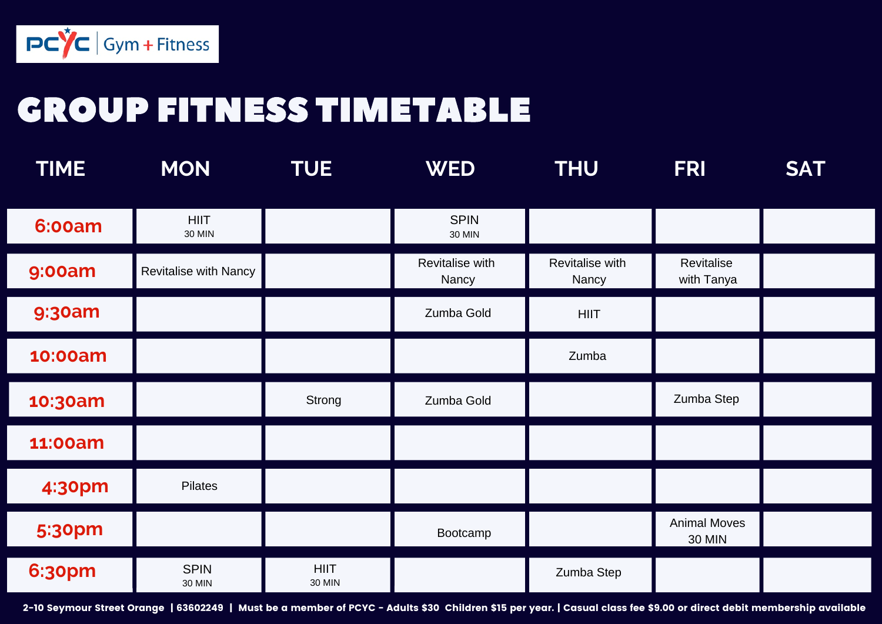

## GROUP FITNESS TIMETABLE

| <b>TIME</b>   | <b>MON</b>                   | <b>TUE</b>                   | <b>WED</b>                   | <b>THU</b>               | <b>FRI</b>                           | <b>SAT</b> |
|---------------|------------------------------|------------------------------|------------------------------|--------------------------|--------------------------------------|------------|
| <b>6:00am</b> | <b>HIIT</b><br><b>30 MIN</b> |                              | <b>SPIN</b><br><b>30 MIN</b> |                          |                                      |            |
| <b>9:00am</b> | Revitalise with Nancy        |                              | Revitalise with<br>Nancy     | Revitalise with<br>Nancy | Revitalise<br>with Tanya             |            |
| <b>9:30am</b> |                              |                              | Zumba Gold                   | <b>HIIT</b>              |                                      |            |
| 10:00am       |                              |                              |                              | Zumba                    |                                      |            |
| 10:30am       |                              | Strong                       | Zumba Gold                   |                          | Zumba Step                           |            |
| 11:00am       |                              |                              |                              |                          |                                      |            |
| 4:30pm        | Pilates                      |                              |                              |                          |                                      |            |
| <b>5:30pm</b> |                              |                              | Bootcamp                     |                          | <b>Animal Moves</b><br><b>30 MIN</b> |            |
| <b>6:30pm</b> | <b>SPIN</b><br><b>30 MIN</b> | <b>HIIT</b><br><b>30 MIN</b> |                              | Zumba Step               |                                      |            |

2-10 Seymour Street Orange | 63602249 | Must be a member of PCYC - Adults \$30 Children \$15 per year. | Casual class fee \$9.00 or direct debit membership available